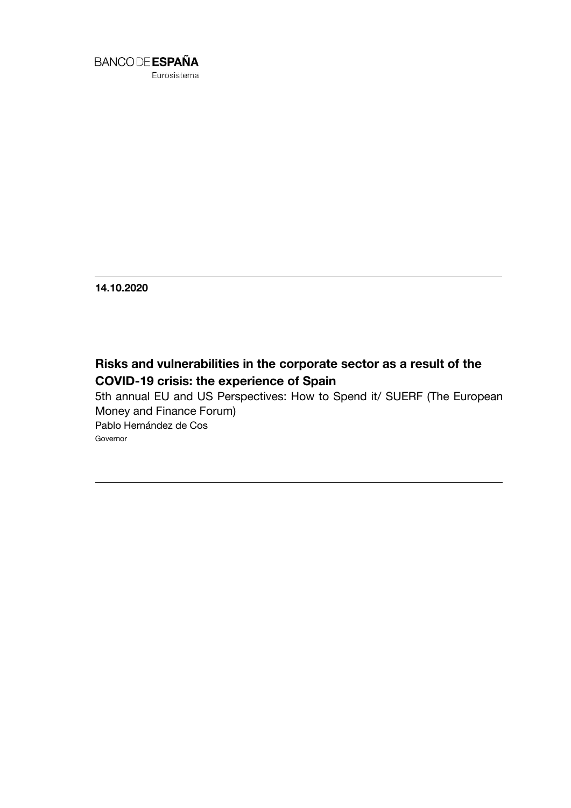

**14.10.2020**

# **Risks and vulnerabilities in the corporate sector as a result of the COVID-19 crisis: the experience of Spain**

5th annual EU and US Perspectives: How to Spend it/ SUERF (The European Money and Finance Forum) Pablo Hernández de Cos Governor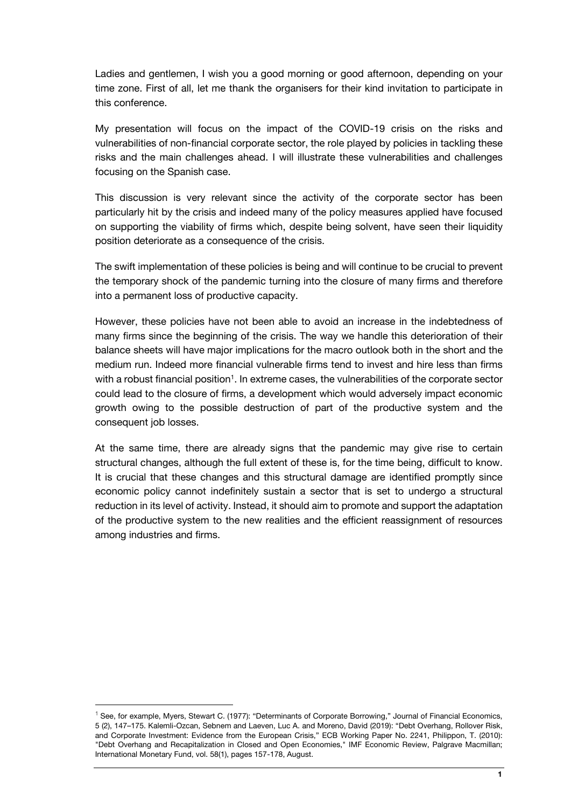Ladies and gentlemen, I wish you a good morning or good afternoon, depending on your time zone. First of all, let me thank the organisers for their kind invitation to participate in this conference.

My presentation will focus on the impact of the COVID-19 crisis on the risks and vulnerabilities of non-financial corporate sector, the role played by policies in tackling these risks and the main challenges ahead. I will illustrate these vulnerabilities and challenges focusing on the Spanish case.

This discussion is very relevant since the activity of the corporate sector has been particularly hit by the crisis and indeed many of the policy measures applied have focused on supporting the viability of firms which, despite being solvent, have seen their liquidity position deteriorate as a consequence of the crisis.

The swift implementation of these policies is being and will continue to be crucial to prevent the temporary shock of the pandemic turning into the closure of many firms and therefore into a permanent loss of productive capacity.

However, these policies have not been able to avoid an increase in the indebtedness of many firms since the beginning of the crisis. The way we handle this deterioration of their balance sheets will have major implications for the macro outlook both in the short and the medium run. Indeed more financial vulnerable firms tend to invest and hire less than firms with a robust financial position<sup>1</sup>. In extreme cases, the vulnerabilities of the corporate sector could lead to the closure of firms, a development which would adversely impact economic growth owing to the possible destruction of part of the productive system and the consequent job losses.

At the same time, there are already signs that the pandemic may give rise to certain structural changes, although the full extent of these is, for the time being, difficult to know. It is crucial that these changes and this structural damage are identified promptly since economic policy cannot indefinitely sustain a sector that is set to undergo a structural reduction in its level of activity. Instead, it should aim to promote and support the adaptation of the productive system to the new realities and the efficient reassignment of resources among industries and firms.

l

<sup>&</sup>lt;sup>1</sup> See, for example, Myers, Stewart C. (1977): "Determinants of Corporate Borrowing," Journal of Financial Economics, 5 (2), 147–175. Kalemli-Ozcan, Sebnem and Laeven, Luc A. and Moreno, David (2019): "Debt Overhang, Rollover Risk, and Corporate Investment: Evidence from the European Crisis," ECB Working Paper No. 2241, Philippon, T. (2010): "Debt Overhang and Recapitalization in Closed and Open Economies," IMF Economic Review, Palgrave Macmillan; International Monetary Fund, vol. 58(1), pages 157-178, August.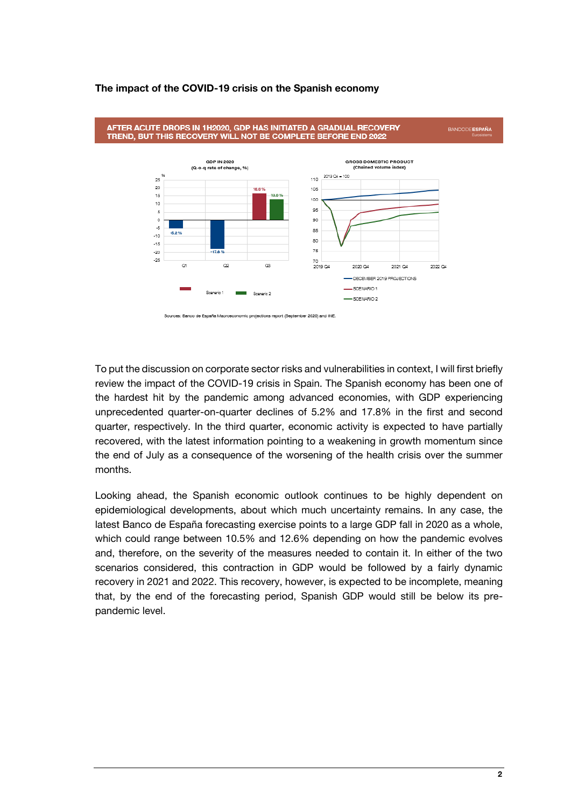# **The impact of the COVID-19 crisis on the Spanish economy**





To put the discussion on corporate sector risks and vulnerabilities in context, I will first briefly review the impact of the COVID-19 crisis in Spain. The Spanish economy has been one of the hardest hit by the pandemic among advanced economies, with GDP experiencing unprecedented quarter-on-quarter declines of 5.2% and 17.8% in the first and second quarter, respectively. In the third quarter, economic activity is expected to have partially recovered, with the latest information pointing to a weakening in growth momentum since the end of July as a consequence of the worsening of the health crisis over the summer months.

Looking ahead, the Spanish economic outlook continues to be highly dependent on epidemiological developments, about which much uncertainty remains. In any case, the latest Banco de España forecasting exercise points to a large GDP fall in 2020 as a whole, which could range between 10.5% and 12.6% depending on how the pandemic evolves and, therefore, on the severity of the measures needed to contain it. In either of the two scenarios considered, this contraction in GDP would be followed by a fairly dynamic recovery in 2021 and 2022. This recovery, however, is expected to be incomplete, meaning that, by the end of the forecasting period, Spanish GDP would still be below its prepandemic level.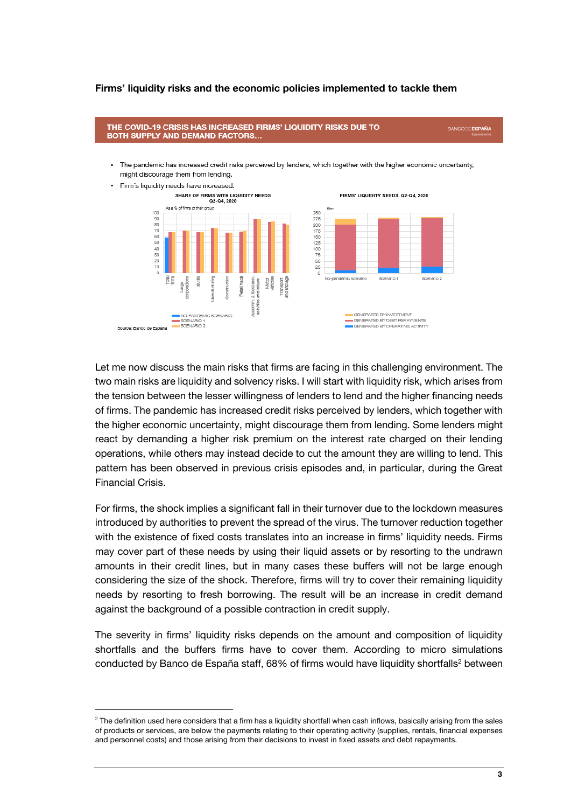## **Firms' liquidity risks and the economic policies implemented to tackle them**

#### THE COVID-19 CRISIS HAS INCREASED FIRMS' LIQUIDITY RISKS DUE TO **BANCODE ESPAÑA BOTH SUPPLY AND DEMAND FACTORS...** . The pandemic has increased credit risks perceived by lenders, which together with the higher economic uncertainty, might discourage them from lending. · Firm's liquidity needs have increased. SHARE OF FIRMS WITH LIQUIDITY NEEDS FIRMS' LIQUIDITY NEEDS, Q2-Q4, 2020 Q2-Q4, 2020 As a % of firms of their proup Chr. 250<br>225 100<br>90 80 200 175<br>150<br>125<br>100<br>75<br>50<br>50<br>25 70<br>60<br>50<br>40<br>30<br>20<br>10  $\frac{1}{2}$ No-pandemic scenario Scenario<sup>-</sup> etail track food sert arcae locomm.<br>activities ■ GENERATED BY INVESTMENT<br>■ GENERATED BY DEBT REPAYMENTS<br>■ GENERATED BY OPERATING ACTIVITY NO-PANDEMIC SCENARIO SCENARIO 1<br>SCENARIO 2 Source: Banco de Espai

Let me now discuss the main risks that firms are facing in this challenging environment. The two main risks are liquidity and solvency risks. I will start with liquidity risk, which arises from the tension between the lesser willingness of lenders to lend and the higher financing needs of firms. The pandemic has increased credit risks perceived by lenders, which together with the higher economic uncertainty, might discourage them from lending. Some lenders might react by demanding a higher risk premium on the interest rate charged on their lending operations, while others may instead decide to cut the amount they are willing to lend. This pattern has been observed in previous crisis episodes and, in particular, during the Great Financial Crisis.

For firms, the shock implies a significant fall in their turnover due to the lockdown measures introduced by authorities to prevent the spread of the virus. The turnover reduction together with the existence of fixed costs translates into an increase in firms' liquidity needs. Firms may cover part of these needs by using their liquid assets or by resorting to the undrawn amounts in their credit lines, but in many cases these buffers will not be large enough considering the size of the shock. Therefore, firms will try to cover their remaining liquidity needs by resorting to fresh borrowing. The result will be an increase in credit demand against the background of a possible contraction in credit supply.

The severity in firms' liquidity risks depends on the amount and composition of liquidity shortfalls and the buffers firms have to cover them. According to micro simulations conducted by Banco de España staff, 68% of firms would have liquidity shortfalls<sup>2</sup> between

1

 $2$  The definition used here considers that a firm has a liquidity shortfall when cash inflows, basically arising from the sales of products or services, are below the payments relating to their operating activity (supplies, rentals, financial expenses and personnel costs) and those arising from their decisions to invest in fixed assets and debt repayments.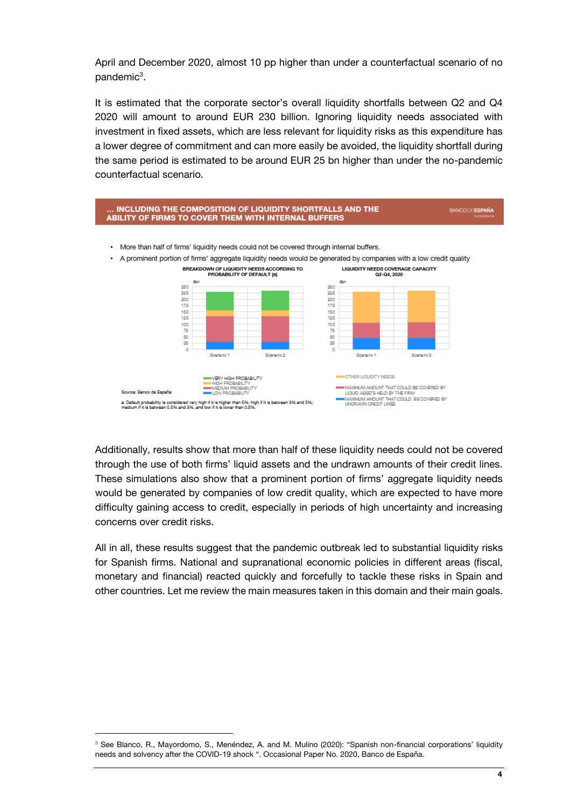April and December 2020, almost 10 pp higher than under a counterfactual scenario of no pandemic<sup>3</sup>.

It is estimated that the corporate sector's overall liquidity shortfalls between Q2 and Q4 2020 will amount to around EUR 230 billion. Ignoring liquidity needs associated with investment in fixed assets, which are less relevant for liquidity risks as this expenditure has a lower degree of commitment and can more easily be avoided, the liquidity shortfall during the same period is estimated to be around EUR 25 bn higher than under the no-pandemic counterfactual scenario.



Additionally, results show that more than half of these liquidity needs could not be covered through the use of both firms' liquid assets and the undrawn amounts of their credit lines. These simulations also show that a prominent portion of firms' aggregate liquidity needs would be generated by companies of low credit quality, which are expected to have more difficulty gaining access to credit, especially in periods of high uncertainty and increasing concerns over credit risks.

All in all, these results suggest that the pandemic outbreak led to substantial liquidity risks for Spanish firms. National and supranational economic policies in different areas (fiscal, monetary and financial) reacted quickly and forcefully to tackle these risks in Spain and other countries. Let me review the main measures taken in this domain and their main goals.

l

<sup>&</sup>lt;sup>3</sup> See Blanco, R., Mayordomo, S., Menéndez, A. and M. Mulino (2020): "Spanish non-financial corporations' liquidity needs and solvency after the COVID-19 shock ". Occasional Paper No. 2020, Banco de España.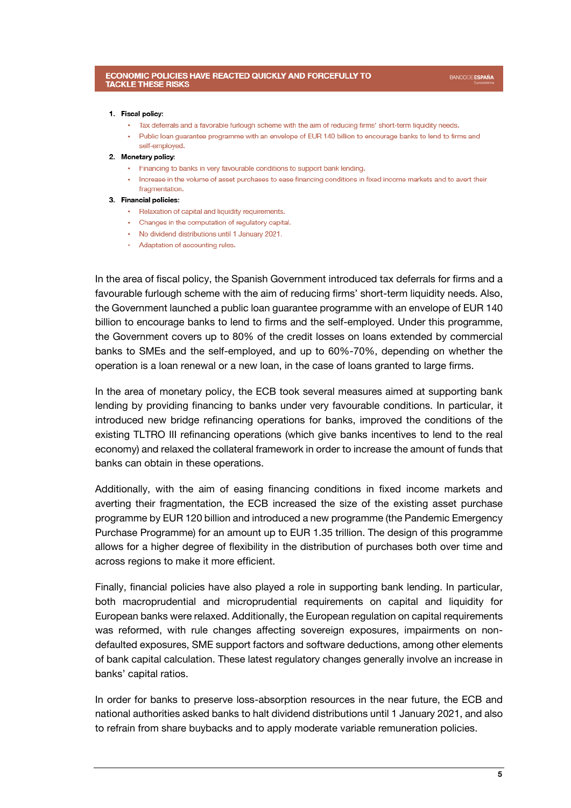#### 1. Fiscal policy:

- . Tax deferrals and a favorable furlough scheme with the aim of reducing firms' short-term liquidity needs.
- . Public loan quarantee programme with an envelope of EUR 140 billion to encourage banks to lend to firms and self-employed.
- 2. Monetary policy:
	- Financing to banks in very favourable conditions to support bank lending.
	- . Increase in the volume of asset purchases to ease financing conditions in fixed income markets and to avert their fragmentation.

#### 3. Financial policies:

- Relaxation of capital and liquidity requirements.
- Changes in the computation of regulatory capital.
- No dividend distributions until 1 January 2021.
- Adaptation of accounting rules.

In the area of fiscal policy, the Spanish Government introduced tax deferrals for firms and a favourable furlough scheme with the aim of reducing firms' short-term liquidity needs. Also, the Government launched a public loan guarantee programme with an envelope of EUR 140 billion to encourage banks to lend to firms and the self-employed. Under this programme, the Government covers up to 80% of the credit losses on loans extended by commercial banks to SMEs and the self-employed, and up to 60%-70%, depending on whether the operation is a loan renewal or a new loan, in the case of loans granted to large firms.

In the area of monetary policy, the ECB took several measures aimed at supporting bank lending by providing financing to banks under very favourable conditions. In particular, it introduced new bridge refinancing operations for banks, improved the conditions of the existing TLTRO III refinancing operations (which give banks incentives to lend to the real economy) and relaxed the collateral framework in order to increase the amount of funds that banks can obtain in these operations.

Additionally, with the aim of easing financing conditions in fixed income markets and averting their fragmentation, the ECB increased the size of the existing asset purchase programme by EUR 120 billion and introduced a new programme (the Pandemic Emergency Purchase Programme) for an amount up to EUR 1.35 trillion. The design of this programme allows for a higher degree of flexibility in the distribution of purchases both over time and across regions to make it more efficient.

Finally, financial policies have also played a role in supporting bank lending. In particular, both macroprudential and microprudential requirements on capital and liquidity for European banks were relaxed. Additionally, the European regulation on capital requirements was reformed, with rule changes affecting sovereign exposures, impairments on nondefaulted exposures, SME support factors and software deductions, among other elements of bank capital calculation. These latest regulatory changes generally involve an increase in banks' capital ratios.

In order for banks to preserve loss-absorption resources in the near future, the ECB and national authorities asked banks to halt dividend distributions until 1 January 2021, and also to refrain from share buybacks and to apply moderate variable remuneration policies.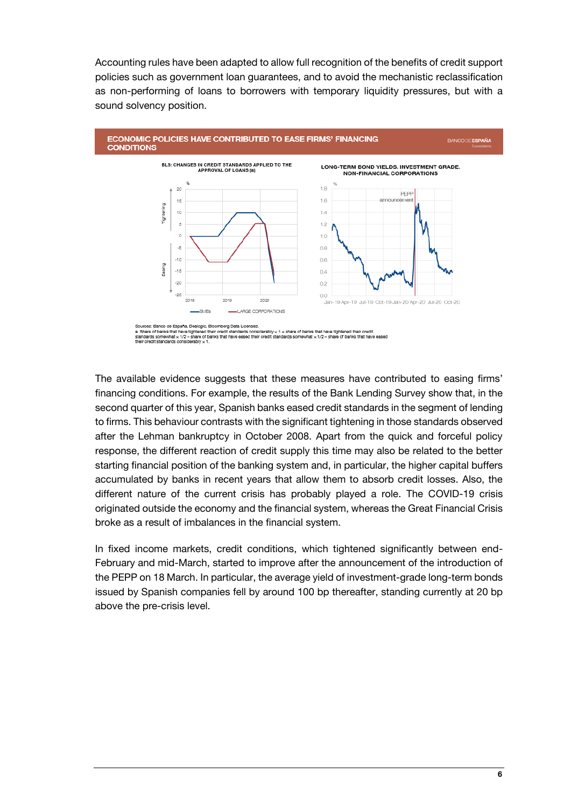Accounting rules have been adapted to allow full recognition of the benefits of credit support policies such as government loan guarantees, and to avoid the mechanistic reclassification as non-performing of loans to borrowers with temporary liquidity pressures, but with a sound solvency position.



The available evidence suggests that these measures have contributed to easing firms' financing conditions. For example, the results of the Bank Lending Survey show that, in the second quarter of this year, Spanish banks eased credit standards in the segment of lending to firms. This behaviour contrasts with the significant tightening in those standards observed after the Lehman bankruptcy in October 2008. Apart from the quick and forceful policy response, the different reaction of credit supply this time may also be related to the better starting financial position of the banking system and, in particular, the higher capital buffers accumulated by banks in recent years that allow them to absorb credit losses. Also, the different nature of the current crisis has probably played a role. The COVID-19 crisis originated outside the economy and the financial system, whereas the Great Financial Crisis broke as a result of imbalances in the financial system.

In fixed income markets, credit conditions, which tightened significantly between end-February and mid-March, started to improve after the announcement of the introduction of the PEPP on 18 March. In particular, the average yield of investment-grade long-term bonds issued by Spanish companies fell by around 100 bp thereafter, standing currently at 20 bp above the pre-crisis level.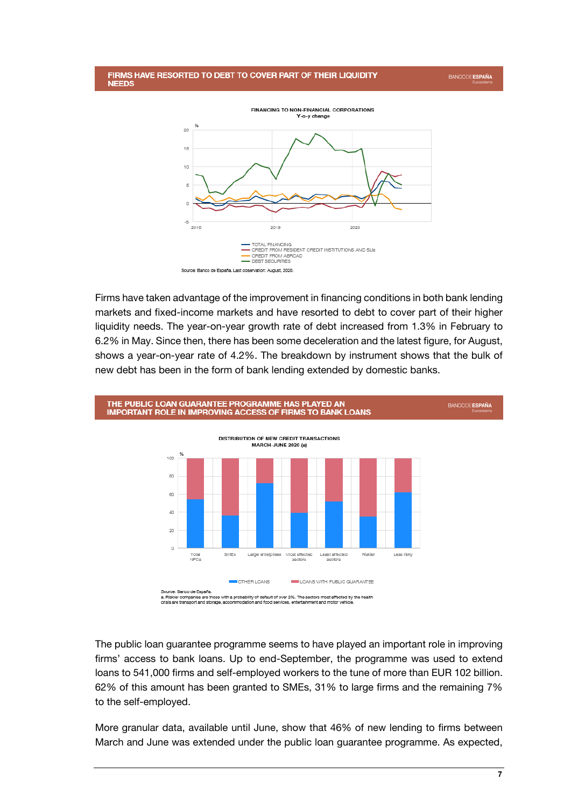





Firms have taken advantage of the improvement in financing conditions in both bank lending markets and fixed-income markets and have resorted to debt to cover part of their higher liquidity needs. The year-on-year growth rate of debt increased from 1.3% in February to 6.2% in May. Since then, there has been some deceleration and the latest figure, for August, shows a year-on-year rate of 4.2%. The breakdown by instrument shows that the bulk of new debt has been in the form of bank lending extended by domestic banks.



The public loan guarantee programme seems to have played an important role in improving firms' access to bank loans. Up to end-September, the programme was used to extend loans to 541,000 firms and self-employed workers to the tune of more than EUR 102 billion. 62% of this amount has been granted to SMEs, 31% to large firms and the remaining 7% to the self-employed.

More granular data, available until June, show that 46% of new lending to firms between March and June was extended under the public loan guarantee programme. As expected,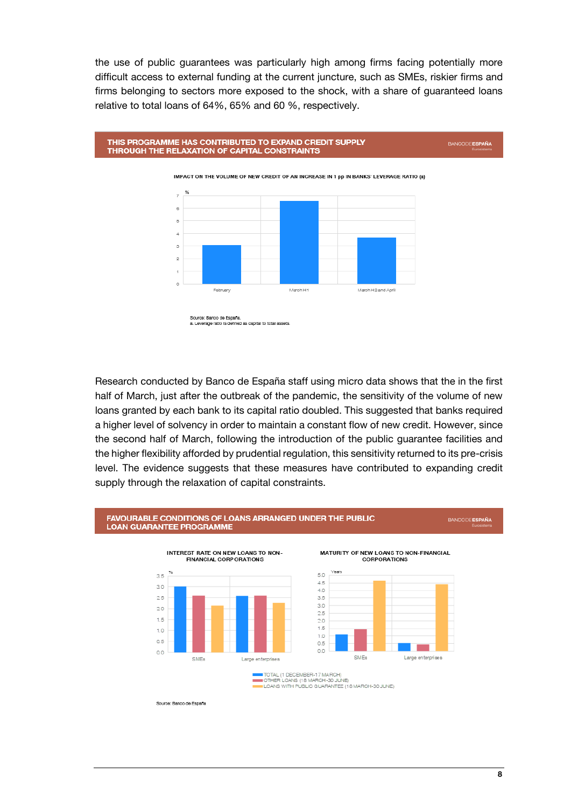the use of public guarantees was particularly high among firms facing potentially more difficult access to external funding at the current juncture, such as SMEs, riskier firms and firms belonging to sectors more exposed to the shock, with a share of guaranteed loans relative to total loans of 64%, 65% and 60 %, respectively.





Source: Banco de España.<br>a. Leverage ratio is defined as capital to total ass

Research conducted by Banco de España staff using micro data shows that the in the first half of March, just after the outbreak of the pandemic, the sensitivity of the volume of new loans granted by each bank to its capital ratio doubled. This suggested that banks required a higher level of solvency in order to maintain a constant flow of new credit. However, since the second half of March, following the introduction of the public guarantee facilities and the higher flexibility afforded by prudential regulation, this sensitivity returned to its pre-crisis level. The evidence suggests that these measures have contributed to expanding credit supply through the relaxation of capital constraints.

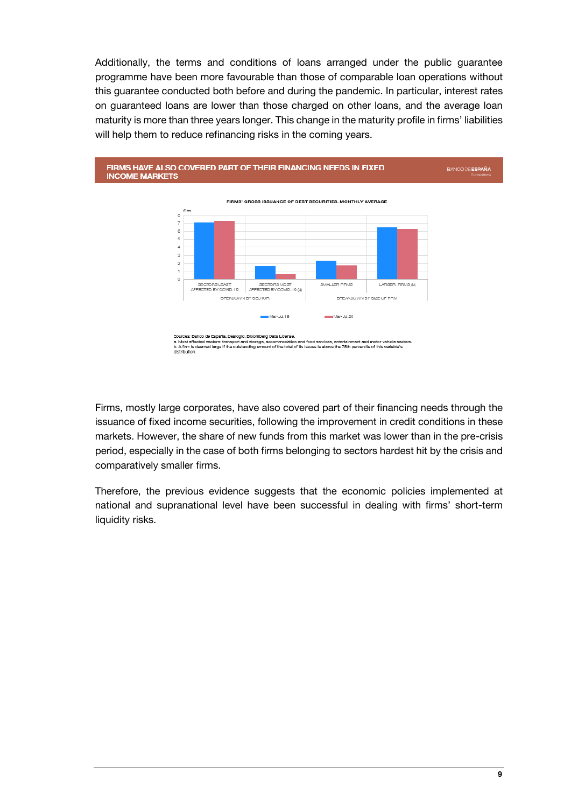Additionally, the terms and conditions of loans arranged under the public guarantee programme have been more favourable than those of comparable loan operations without this guarantee conducted both before and during the pandemic. In particular, interest rates on guaranteed loans are lower than those charged on other loans, and the average loan maturity is more than three years longer. This change in the maturity profile in firms' liabilities will help them to reduce refinancing risks in the coming years.



Firms, mostly large corporates, have also covered part of their financing needs through the issuance of fixed income securities, following the improvement in credit conditions in these markets. However, the share of new funds from this market was lower than in the pre-crisis period, especially in the case of both firms belonging to sectors hardest hit by the crisis and comparatively smaller firms.

Therefore, the previous evidence suggests that the economic policies implemented at national and supranational level have been successful in dealing with firms' short-term liquidity risks.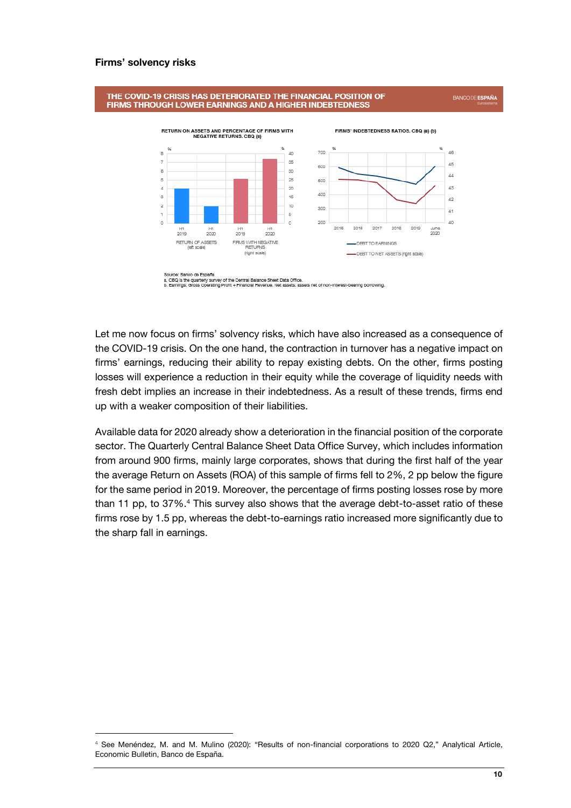#### **Firms' solvency risks**

l



Source: Banco de España<br>a. CBQ is the quarterly survey of the Central Balance Sheet Data Office.<br>b. Earnings: Gross Operating Profit + Financial Revenue. Net assets: assets net of non-interest-bearing borrowing.

Let me now focus on firms' solvency risks, which have also increased as a consequence of the COVID-19 crisis. On the one hand, the contraction in turnover has a negative impact on firms' earnings, reducing their ability to repay existing debts. On the other, firms posting losses will experience a reduction in their equity while the coverage of liquidity needs with fresh debt implies an increase in their indebtedness. As a result of these trends, firms end up with a weaker composition of their liabilities.

Available data for 2020 already show a deterioration in the financial position of the corporate sector. The Quarterly Central Balance Sheet Data Office Survey, which includes information from around 900 firms, mainly large corporates, shows that during the first half of the year the average Return on Assets (ROA) of this sample of firms fell to 2%, 2 pp below the figure for the same period in 2019. Moreover, the percentage of firms posting losses rose by more than 11 pp, to 37%.<sup>4</sup> This survey also shows that the average debt-to-asset ratio of these firms rose by 1.5 pp, whereas the debt-to-earnings ratio increased more significantly due to the sharp fall in earnings.

<sup>4</sup> See Menéndez, M. and M. Mulino (2020): "Results of non-financial corporations to 2020 Q2," Analytical Article, Economic Bulletin, Banco de España.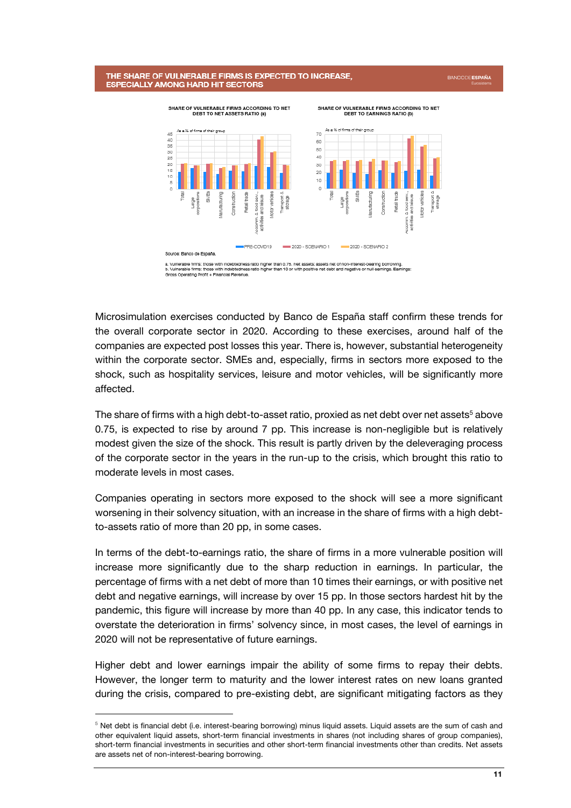#### THE SHARE OF VULNERABLE FIRMS IS EXPECTED TO INCREASE, **ESPECIALLY AMONG HARD HIT SECTORS**



Microsimulation exercises conducted by Banco de España staff confirm these trends for the overall corporate sector in 2020. According to these exercises, around half of the companies are expected post losses this year. There is, however, substantial heterogeneity within the corporate sector. SMEs and, especially, firms in sectors more exposed to the shock, such as hospitality services, leisure and motor vehicles, will be significantly more affected.

The share of firms with a high debt-to-asset ratio, proxied as net debt over net assets<sup>5</sup> above 0.75, is expected to rise by around 7 pp. This increase is non-negligible but is relatively modest given the size of the shock. This result is partly driven by the deleveraging process of the corporate sector in the years in the run-up to the crisis, which brought this ratio to moderate levels in most cases.

Companies operating in sectors more exposed to the shock will see a more significant worsening in their solvency situation, with an increase in the share of firms with a high debtto-assets ratio of more than 20 pp, in some cases.

In terms of the debt-to-earnings ratio, the share of firms in a more vulnerable position will increase more significantly due to the sharp reduction in earnings. In particular, the percentage of firms with a net debt of more than 10 times their earnings, or with positive net debt and negative earnings, will increase by over 15 pp. In those sectors hardest hit by the pandemic, this figure will increase by more than 40 pp. In any case, this indicator tends to overstate the deterioration in firms' solvency since, in most cases, the level of earnings in 2020 will not be representative of future earnings.

Higher debt and lower earnings impair the ability of some firms to repay their debts. However, the longer term to maturity and the lower interest rates on new loans granted during the crisis, compared to pre-existing debt, are significant mitigating factors as they

j

<sup>&</sup>lt;sup>5</sup> Net debt is financial debt (i.e. interest-bearing borrowing) minus liquid assets. Liquid assets are the sum of cash and other equivalent liquid assets, short-term financial investments in shares (not including shares of group companies), short-term financial investments in securities and other short-term financial investments other than credits. Net assets are assets net of non-interest-bearing borrowing.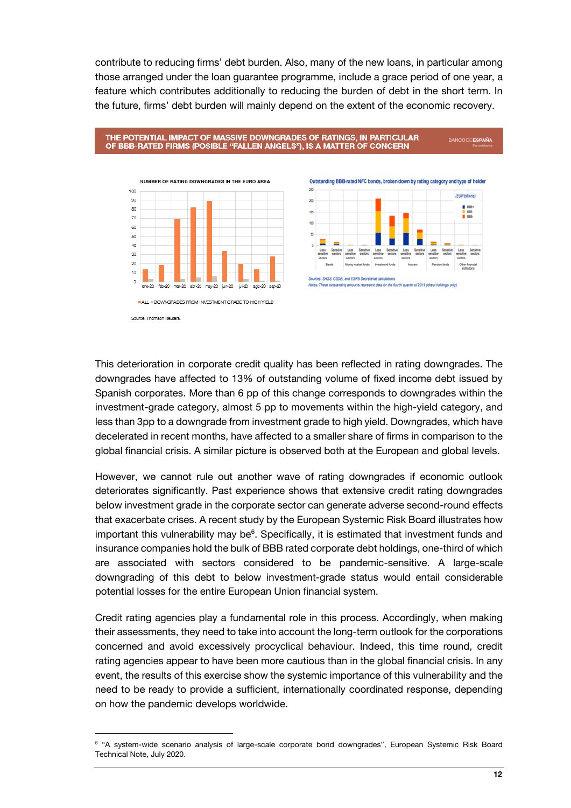contribute to reducing firms' debt burden. Also, many of the new loans, in particular among those arranged under the loan guarantee programme, include a grace period of one year, a feature which contributes additionally to reducing the burden of debt in the short term. In the future, firms' debt burden will mainly depend on the extent of the economic recovery.

#### THE POTENTIAL IMPACT OF MASSIVE DOWNGRADES OF RATINGS, IN PARTICULAR OF BBB-RATED FIRMS (POSIBLE "FALLEN ANGELS"), IS A MATTER OF CONCERN



This deterioration in corporate credit quality has been reflected in rating downgrades. The downgrades have affected to 13% of outstanding volume of fixed income debt issued by Spanish corporates. More than 6 pp of this change corresponds to downgrades within the investment-grade category, almost 5 pp to movements within the high-yield category, and less than 3pp to a downgrade from investment grade to high yield. Downgrades, which have decelerated in recent months, have affected to a smaller share of firms in comparison to the global financial crisis. A similar picture is observed both at the European and global levels.

However, we cannot rule out another wave of rating downgrades if economic outlook deteriorates significantly. Past experience shows that extensive credit rating downgrades below investment grade in the corporate sector can generate adverse second-round effects that exacerbate crises. A recent study by the European Systemic Risk Board illustrates how important this vulnerability may be<sup>6</sup>. Specifically, it is estimated that investment funds and insurance companies hold the bulk of BBB rated corporate debt holdings, one-third of which are associated with sectors considered to be pandemic-sensitive. A large-scale downgrading of this debt to below investment-grade status would entail considerable potential losses for the entire European Union financial system.

Credit rating agencies play a fundamental role in this process. Accordingly, when making their assessments, they need to take into account the long-term outlook for the corporations concerned and avoid excessively procyclical behaviour. Indeed, this time round, credit rating agencies appear to have been more cautious than in the global financial crisis. In any event, the results of this exercise show the systemic importance of this vulnerability and the need to be ready to provide a sufficient, internationally coordinated response, depending on how the pandemic develops worldwide.

l

Source: Thomson Reuters

**BANCODE ESPAÑA** 

<sup>6</sup> "A system-wide scenario analysis of large-scale corporate bond downgrades", European Systemic Risk Board Technical Note, July 2020.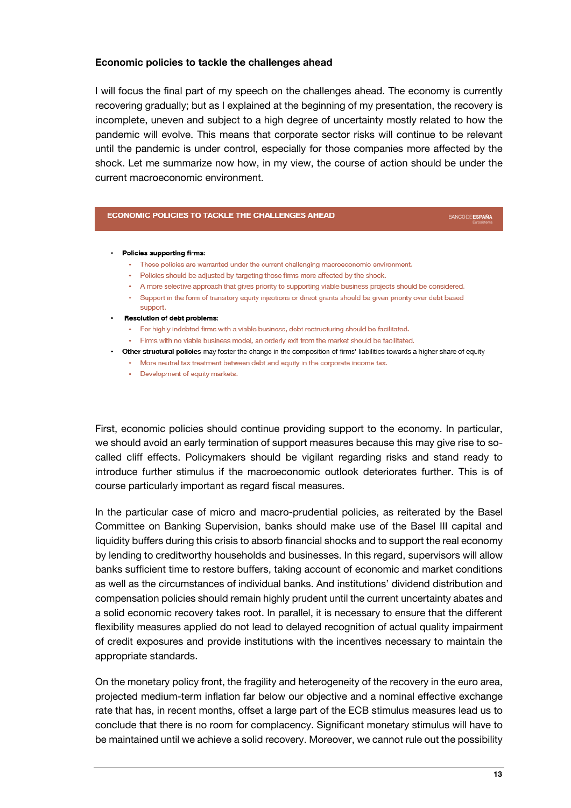# **Economic policies to tackle the challenges ahead**

I will focus the final part of my speech on the challenges ahead. The economy is currently recovering gradually; but as I explained at the beginning of my presentation, the recovery is incomplete, uneven and subject to a high degree of uncertainty mostly related to how the pandemic will evolve. This means that corporate sector risks will continue to be relevant until the pandemic is under control, especially for those companies more affected by the shock. Let me summarize now how, in my view, the course of action should be under the current macroeconomic environment.

## **ECONOMIC POLICIES TO TACKLE THE CHALLENGES AHEAD**

**BANCODEESPAÑA** 

#### • Policies supporting firms:

- These policies are warranted under the current challenging macroeconomic environment.
- Policies should be adjusted by targeting those firms more affected by the shock.
- A more selective approach that gives priority to supporting viable business projects should be considered.
- . Support in the form of transitory equity injections or direct grants should be given priority over debt based
- support. **Resolution of debt problems:** 
	- For highly indebted firms with a viable business, debt restructuring should be facilitated.
	- . Firms with no viable business model, an orderly exit from the market should be facilitated.
- . Other structural policies may foster the change in the composition of firms' liabilities towards a higher share of equity
	- More neutral tax treatment between debt and equity in the corporate income tax.
	- Development of equity markets.

First, economic policies should continue providing support to the economy. In particular, we should avoid an early termination of support measures because this may give rise to socalled cliff effects. Policymakers should be vigilant regarding risks and stand ready to introduce further stimulus if the macroeconomic outlook deteriorates further. This is of course particularly important as regard fiscal measures.

In the particular case of micro and macro-prudential policies, as reiterated by the Basel Committee on Banking Supervision, banks should make use of the Basel III capital and liquidity buffers during this crisis to absorb financial shocks and to support the real economy by lending to creditworthy households and businesses. In this regard, supervisors will allow banks sufficient time to restore buffers, taking account of economic and market conditions as well as the circumstances of individual banks. And institutions' dividend distribution and compensation policies should remain highly prudent until the current uncertainty abates and a solid economic recovery takes root. In parallel, it is necessary to ensure that the different flexibility measures applied do not lead to delayed recognition of actual quality impairment of credit exposures and provide institutions with the incentives necessary to maintain the appropriate standards.

On the monetary policy front, the fragility and heterogeneity of the recovery in the euro area, projected medium-term inflation far below our objective and a nominal effective exchange rate that has, in recent months, offset a large part of the ECB stimulus measures lead us to conclude that there is no room for complacency. Significant monetary stimulus will have to be maintained until we achieve a solid recovery. Moreover, we cannot rule out the possibility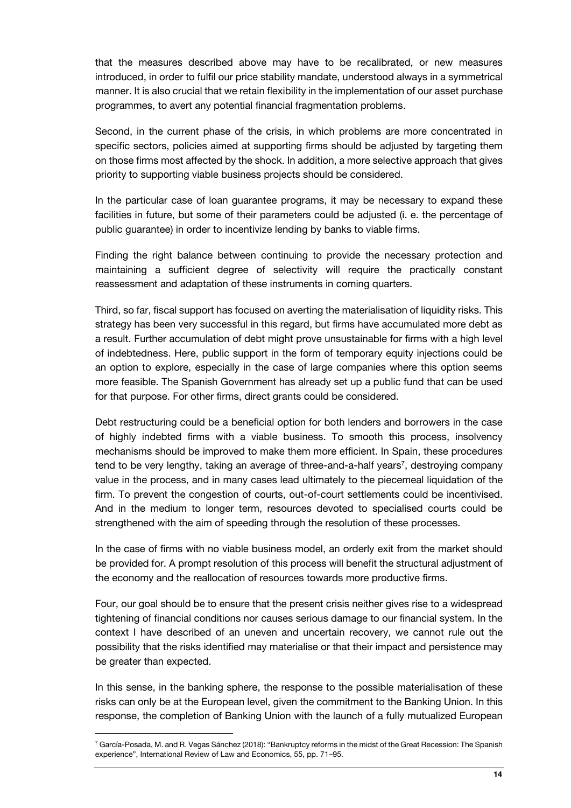that the measures described above may have to be recalibrated, or new measures introduced, in order to fulfil our price stability mandate, understood always in a symmetrical manner. It is also crucial that we retain flexibility in the implementation of our asset purchase programmes, to avert any potential financial fragmentation problems.

Second, in the current phase of the crisis, in which problems are more concentrated in specific sectors, policies aimed at supporting firms should be adjusted by targeting them on those firms most affected by the shock. In addition, a more selective approach that gives priority to supporting viable business projects should be considered.

In the particular case of loan guarantee programs, it may be necessary to expand these facilities in future, but some of their parameters could be adjusted (i. e. the percentage of public guarantee) in order to incentivize lending by banks to viable firms.

Finding the right balance between continuing to provide the necessary protection and maintaining a sufficient degree of selectivity will require the practically constant reassessment and adaptation of these instruments in coming quarters.

Third, so far, fiscal support has focused on averting the materialisation of liquidity risks. This strategy has been very successful in this regard, but firms have accumulated more debt as a result. Further accumulation of debt might prove unsustainable for firms with a high level of indebtedness. Here, public support in the form of temporary equity injections could be an option to explore, especially in the case of large companies where this option seems more feasible. The Spanish Government has already set up a public fund that can be used for that purpose. For other firms, direct grants could be considered.

Debt restructuring could be a beneficial option for both lenders and borrowers in the case of highly indebted firms with a viable business. To smooth this process, insolvency mechanisms should be improved to make them more efficient. In Spain, these procedures tend to be very lengthy, taking an average of three-and-a-half years<sup>7</sup>, destroying company value in the process, and in many cases lead ultimately to the piecemeal liquidation of the firm. To prevent the congestion of courts, out-of-court settlements could be incentivised. And in the medium to longer term, resources devoted to specialised courts could be strengthened with the aim of speeding through the resolution of these processes.

In the case of firms with no viable business model, an orderly exit from the market should be provided for. A prompt resolution of this process will benefit the structural adjustment of the economy and the reallocation of resources towards more productive firms.

Four, our goal should be to ensure that the present crisis neither gives rise to a widespread tightening of financial conditions nor causes serious damage to our financial system. In the context I have described of an uneven and uncertain recovery, we cannot rule out the possibility that the risks identified may materialise or that their impact and persistence may be greater than expected.

In this sense, in the banking sphere, the response to the possible materialisation of these risks can only be at the European level, given the commitment to the Banking Union. In this response, the completion of Banking Union with the launch of a fully mutualized European

l

 $7$  García-Posada, M. and R. Vegas Sánchez (2018): "Bankruptcy reforms in the midst of the Great Recession: The Spanish experience", International Review of Law and Economics, 55, pp. 71–95.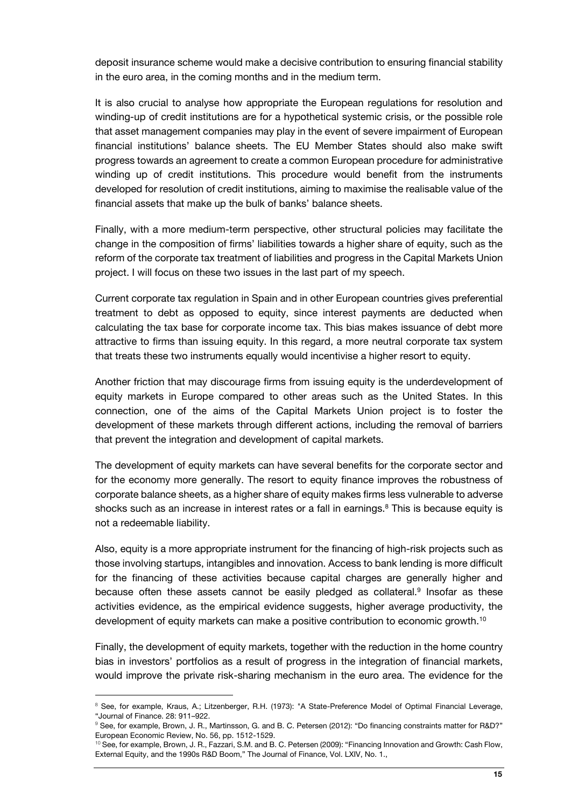deposit insurance scheme would make a decisive contribution to ensuring financial stability in the euro area, in the coming months and in the medium term.

It is also crucial to analyse how appropriate the European regulations for resolution and winding-up of credit institutions are for a hypothetical systemic crisis, or the possible role that asset management companies may play in the event of severe impairment of European financial institutions' balance sheets. The EU Member States should also make swift progress towards an agreement to create a common European procedure for administrative winding up of credit institutions. This procedure would benefit from the instruments developed for resolution of credit institutions, aiming to maximise the realisable value of the financial assets that make up the bulk of banks' balance sheets.

Finally, with a more medium-term perspective, other structural policies may facilitate the change in the composition of firms' liabilities towards a higher share of equity, such as the reform of the corporate tax treatment of liabilities and progress in the Capital Markets Union project. I will focus on these two issues in the last part of my speech.

Current corporate tax regulation in Spain and in other European countries gives preferential treatment to debt as opposed to equity, since interest payments are deducted when calculating the tax base for corporate income tax. This bias makes issuance of debt more attractive to firms than issuing equity. In this regard, a more neutral corporate tax system that treats these two instruments equally would incentivise a higher resort to equity.

Another friction that may discourage firms from issuing equity is the underdevelopment of equity markets in Europe compared to other areas such as the United States. In this connection, one of the aims of the Capital Markets Union project is to foster the development of these markets through different actions, including the removal of barriers that prevent the integration and development of capital markets.

The development of equity markets can have several benefits for the corporate sector and for the economy more generally. The resort to equity finance improves the robustness of corporate balance sheets, as a higher share of equity makes firms less vulnerable to adverse shocks such as an increase in interest rates or a fall in earnings.<sup>8</sup> This is because equity is not a redeemable liability.

Also, equity is a more appropriate instrument for the financing of high-risk projects such as those involving startups, intangibles and innovation. Access to bank lending is more difficult for the financing of these activities because capital charges are generally higher and because often these assets cannot be easily pledged as collateral.<sup>9</sup> Insofar as these activities evidence, as the empirical evidence suggests, higher average productivity, the development of equity markets can make a positive contribution to economic growth.<sup>10</sup>

Finally, the development of equity markets, together with the reduction in the home country bias in investors' portfolios as a result of progress in the integration of financial markets, would improve the private risk-sharing mechanism in the euro area. The evidence for the

1

<sup>&</sup>lt;sup>8</sup> See, for example, Kraus, A.; Litzenberger, R.H. (1973): "A State-Preference Model of Optimal Financial Leverage, "Journal of Finance. 28: 911–922.

<sup>&</sup>lt;sup>9</sup> See, for example, Brown, J. R., Martinsson, G. and B. C. Petersen (2012): "Do financing constraints matter for R&D?" European Economic Review, No. 56, pp. 1512-1529.

<sup>10</sup> See, for example, Brown, J. R., Fazzari, S.M. and B. C. Petersen (2009): "Financing Innovation and Growth: Cash Flow, External Equity, and the 1990s R&D Boom," The Journal of Finance, Vol. LXIV, No. 1.,